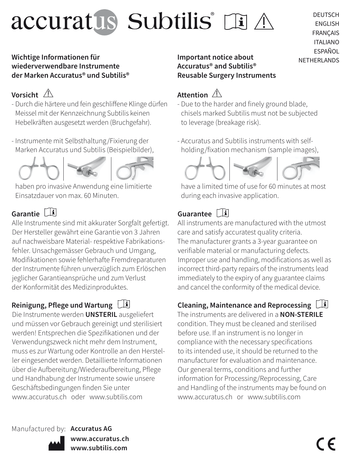# accuratus Subtilis La A

**DEUTSCH** ENGLISH **FRANCAIS** ITALIANO **ESPAÑOL NETHERLANDS** 

### **Wichtige Informationen für wiederverwendbare Instrumente der Marken Accuratus® und Subtilis®**

## **Vorsicht**

- Durch die härtere und fein geschliffene Klinge dürfen Meissel mit der Kennzeichnung Subtilis keinen Hebelkräften ausgesetzt werden (Bruchgefahr).
- Instrumente mit Selbsthaltung /Fixierung der Marken Accuratus und Subtilis (Beispielbilder),



haben pro invasive Anwendung eine limitierte Einsatzdauer von max. 60 Minuten.

## **Garantie**

Alle Instrumente sind mit akkurater Sorgfalt gefertigt. Der Hersteller gewährt eine Garantie von 3 Jahren auf nachweisbare Material- respektive Fabrikationsfehler. Unsachgemässer Gebrauch und Umgang, Modifikationen sowie fehlerhafte Fremdreparaturen der Instrumente führen unverzüglich zum Erlöschen jeglicher Garantieansprüche und zum Verlust der Konformität des Medizinproduktes.

## **Reinigung, Pflege und Wartung**

Die Instrumente werden **UNSTERIL** ausgeliefert und müssen vor Gebrauch gereinigt und sterilisiert werden! Entsprechen die Spezifikationen und der Verwendungszweck nicht mehr dem Instrument, muss es zur Wartung oder Kontrolle an den Hersteller eingesendet werden. Detaillierte Informationen über die Aufbereitung/Wiederaufbereitung, Pflege und Handhabung der Instrumente sowie unsere Geschäftsbedingungen finden Sie unter www.accuratus.ch oder www.subtilis.com

## **Important notice about Accuratus® and Subtilis® Reusable Surgery Instruments**

# Attention  $\hat{A}$

- Due to the harder and finely ground blade, chisels marked Subtilis must not be subjected to leverage (breakage risk).
- Accuratus and Subtilis instruments with selfholding /fixation mechanism (sample images),



have a limited time of use for 60 minutes at most during each invasive application.

#### **Guarantee** Tĩ

All instruments are manufactured with the utmost care and satisfy accuratest quality criteria. The manufacturer grants a 3-year guarantee on verifiable material or manufacturing defects. Improper use and handling, modifications as well as incorrect third-party repairs of the instruments lead immediately to the expiry of any guarantee claims and cancel the conformity of the medical device.

## **Cleaning, Maintenance and Reprocessing**

The instruments are delivered in a **NON-STERILE** condition. They must be cleaned and sterilised before use. If an instrument is no longer in compliance with the necessary specifications to its intended use, it should be returned to the manufacturer for evaluation and maintenance. Our general terms, conditions and further information for Processing/Reprocessing, Care and Handling of the instruments may be found on www.accuratus.ch or www.subtilis.com

Manufactured by: **Accuratus AG**



**www.accuratus.ch www.subtilis.com**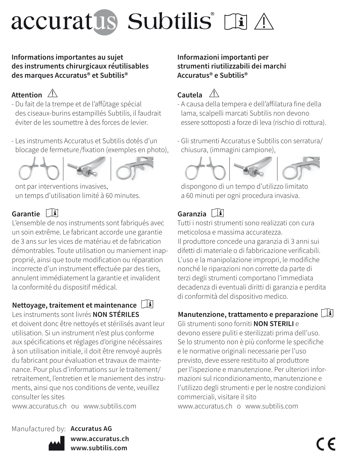# accuratus Subtilis La A

## **Informations importantes au sujet des instruments chirurgicaux réutilisables des marques Accuratus® et Subtilis®**

## Attention <sup>/</sup>

- Du fait de la trempe et de l'affûtage spécial des ciseaux-burins estampillés Subtilis, il faudrait éviter de les soumettre à des forces de levier.
- Les instruments Accuratus et Subtilis dotés d'un blocage de fermeture /fixation (exemples en photo),





ont par interventions invasives, un temps d'utilisation limité à 60 minutes.

#### **Garantie** Ŧ

L'ensemble de nos instruments sont fabriqués avec un soin extrême. Le fabricant accorde une garantie de 3 ans sur les vices de matériau et de fabrication démontrables. Toute utilisation ou maniement inapproprié, ainsi que toute modification ou réparation incorrecte d'un instrument effectuée par des tiers, annulent immédiatement la garantie et invalident la conformité du dispositif médical.

#### **Nettoyage, traitement et maintenance** Les instruments sont livrés **NON STÉRILES**

et doivent donc être nettoyés et stérilisés avant leur utilisation. Si un instrument n'est plus conforme aux spécifications et réglages d'origine nécéssaires à son utilisation initiale, il doit être renvoyé auprès du fabricant pour évaluation et travaux de maintenance. Pour plus d'informations sur le traitement/ retraitement, l'entretien et le maniement des instruments, ainsi que nos conditions de vente, veuillez consulter les sites

www.accuratus.ch. ou www.subtilis.com

## Manufactured by: **Accuratus AG**



**www.accuratus.ch www.subtilis.com**

## **Informazioni importanti per strumenti riutilizzabili dei marchi Accuratus® e Subtilis®**

# **Cautela**

- A causa della tempera e dell'affilatura fine della lama, scalpelli marcati Subtilis non devono essere sottoposti a forze di leva (rischio di rottura).
- Gli strumenti Accuratus e Subtilis con serratura/ chiusura, (immagini campione),



dispongono di un tempo d'utilizzo limitato a 60 minuti per ogni procedura invasiva.

#### **Garanzia** Ŧ

Tutti i nostri strumenti sono realizzati con cura meticolosa e massima accuratezza. Il produttore concede una garanzia di 3 anni sui difetti di materiale o di fabbricazione verificabili. L'uso e la manipolazione impropri, le modifiche nonché le riparazioni non corrette da parte di terzi degli strumenti comportano l'immediata decadenza di eventuali diritti di garanzia e perdita di conformità del dispositivo medico.

## **Manutenzione, trattamento e preparazione**

Gli strumenti sono forniti **NON STERILI** e devono essere puliti e sterilizzati prima dell'uso. Se lo strumento non è più conforme le specifiche e le normative originali necessarie per l'uso previsto, deve essere restituito al produttore per l'ispezione e manutenzione. Per ulteriori informazioni sul ricondizionamento, manutenzione e l'utilizzo degli strumenti e per le nostre condizioni commerciali, visitare il sito www.accuratus.ch.o. www.subtilis.com